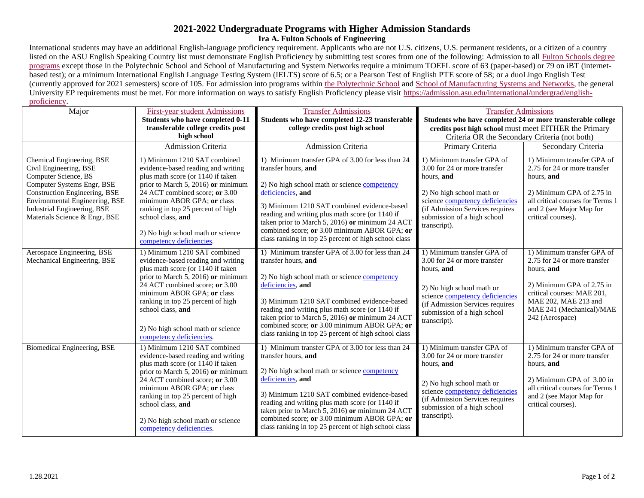## **2021-2022 Undergraduate Programs with Higher Admission Standards Ira A. Fulton Schools of Engineering**

International students may have an additional English-language proficiency requirement. Applicants who are not U.S. citizens, U.S. permanent residents, or a citizen of a country listed on the ASU English Speaking Country list must demonstrate English Proficiency by submitting test scores from one of the following: Admission to all Fulton Schools degree [programs](https://engineering.asu.edu/undergraduate-degree-programs/) except those in the Polytechnic School and School of Manufacturing and System Networks require a minimum TOEFL score of 63 (paper-based) or 79 on iBT (internetbased test); or a minimum International English Language Testing System (IELTS) score of 6.5; or a Pearson Test of English PTE score of 58; or a duoLingo English Test (currently approved for 2021 semesters) score of 105. For admission into programs within [the Polytechnic School](https://poly.engineering.asu.edu/degrees/bachelors-degrees/) and [School of Manufacturing Systems and](https://msn.engineering.asu.edu/) Networks, the general University EP requirements must be met. For more information on ways to satisfy English Proficiency please visit [https://admission.asu.edu/international/undergrad/english](https://admission.asu.edu/international/undergrad/english-proficiency)[proficiency.](https://admission.asu.edu/international/undergrad/english-proficiency)

| Major                                                                                                                                                                                                                                               | <b>First-year student Admissions</b><br>Students who have completed 0-11<br>transferable college credits post                                                                                                                                                                                                                            | <b>Transfer Admissions</b><br>Students who have completed 12-23 transferable<br>college credits post high school                                                                                                                                                                                                                                                                                          | <b>Transfer Admissions</b><br>Students who have completed 24 or more transferable college<br>credits post high school must meet <b>EITHER</b> the Primary                                                                  |                                                                                                                                                                                                            |
|-----------------------------------------------------------------------------------------------------------------------------------------------------------------------------------------------------------------------------------------------------|------------------------------------------------------------------------------------------------------------------------------------------------------------------------------------------------------------------------------------------------------------------------------------------------------------------------------------------|-----------------------------------------------------------------------------------------------------------------------------------------------------------------------------------------------------------------------------------------------------------------------------------------------------------------------------------------------------------------------------------------------------------|----------------------------------------------------------------------------------------------------------------------------------------------------------------------------------------------------------------------------|------------------------------------------------------------------------------------------------------------------------------------------------------------------------------------------------------------|
|                                                                                                                                                                                                                                                     | high school                                                                                                                                                                                                                                                                                                                              |                                                                                                                                                                                                                                                                                                                                                                                                           | Criteria OR the Secondary Criteria (not both)                                                                                                                                                                              |                                                                                                                                                                                                            |
|                                                                                                                                                                                                                                                     | Admission Criteria                                                                                                                                                                                                                                                                                                                       | Admission Criteria                                                                                                                                                                                                                                                                                                                                                                                        | Primary Criteria                                                                                                                                                                                                           | Secondary Criteria                                                                                                                                                                                         |
| Chemical Engineering, BSE<br>Civil Engineering, BSE<br>Computer Science, BS<br>Computer Systems Engr, BSE<br><b>Construction Engineering, BSE</b><br>Environmental Engineering, BSE<br>Industrial Engineering, BSE<br>Materials Science & Engr, BSE | 1) Minimum 1210 SAT combined<br>evidence-based reading and writing<br>plus math score (or 1140 if taken<br>prior to March 5, 2016) or minimum<br>24 ACT combined score; or 3.00<br>minimum ABOR GPA; or class<br>ranking in top 25 percent of high<br>school class, and<br>2) No high school math or science<br>competency deficiencies. | 1) Minimum transfer GPA of 3.00 for less than 24<br>transfer hours, and<br>2) No high school math or science competency<br>deficiencies, and<br>3) Minimum 1210 SAT combined evidence-based<br>reading and writing plus math score (or 1140 if<br>taken prior to March 5, 2016) or minimum 24 ACT<br>combined score; or 3.00 minimum ABOR GPA; or<br>class ranking in top 25 percent of high school class | 1) Minimum transfer GPA of<br>3.00 for 24 or more transfer<br>hours, and<br>2) No high school math or<br>science competency deficiencies<br>(if Admission Services requires<br>submission of a high school<br>transcript). | 1) Minimum transfer GPA of<br>2.75 for 24 or more transfer<br>hours, and<br>2) Minimum GPA of 2.75 in<br>all critical courses for Terms 1<br>and 2 (see Major Map for<br>critical courses).                |
| Aerospace Engineering, BSE<br>Mechanical Engineering, BSE                                                                                                                                                                                           | 1) Minimum 1210 SAT combined<br>evidence-based reading and writing<br>plus math score (or 1140 if taken<br>prior to March 5, 2016) or minimum<br>24 ACT combined score; or 3.00<br>minimum ABOR GPA; or class<br>ranking in top 25 percent of high<br>school class, and<br>2) No high school math or science<br>competency deficiencies. | 1) Minimum transfer GPA of 3.00 for less than 24<br>transfer hours, and<br>2) No high school math or science competency<br>deficiencies, and<br>3) Minimum 1210 SAT combined evidence-based<br>reading and writing plus math score (or 1140 if<br>taken prior to March 5, 2016) or minimum 24 ACT<br>combined score; or 3.00 minimum ABOR GPA; or<br>class ranking in top 25 percent of high school class | 1) Minimum transfer GPA of<br>3.00 for 24 or more transfer<br>hours, and<br>2) No high school math or<br>science competency deficiencies<br>(if Admission Services requires<br>submission of a high school<br>transcript). | 1) Minimum transfer GPA of<br>2.75 for 24 or more transfer<br>hours, and<br>2) Minimum GPA of 2.75 in<br>critical courses: MAE 201,<br>MAE 202, MAE 213 and<br>MAE 241 (Mechanical)/MAE<br>242 (Aerospace) |
| <b>Biomedical Engineering, BSE</b>                                                                                                                                                                                                                  | 1) Minimum 1210 SAT combined<br>evidence-based reading and writing<br>plus math score (or 1140 if taken<br>prior to March 5, 2016) or minimum<br>24 ACT combined score; or 3.00<br>minimum ABOR GPA; or class<br>ranking in top 25 percent of high<br>school class, and<br>2) No high school math or science<br>competency deficiencies. | 1) Minimum transfer GPA of 3.00 for less than 24<br>transfer hours, and<br>2) No high school math or science competency<br>deficiencies, and<br>3) Minimum 1210 SAT combined evidence-based<br>reading and writing plus math score (or 1140 if<br>taken prior to March 5, 2016) or minimum 24 ACT<br>combined score; or 3.00 minimum ABOR GPA; or<br>class ranking in top 25 percent of high school class | 1) Minimum transfer GPA of<br>3.00 for 24 or more transfer<br>hours, and<br>2) No high school math or<br>science competency deficiencies<br>(if Admission Services requires<br>submission of a high school<br>transcript). | 1) Minimum transfer GPA of<br>2.75 for 24 or more transfer<br>hours, and<br>2) Minimum GPA of 3.00 in<br>all critical courses for Terms 1<br>and 2 (see Major Map for<br>critical courses).                |